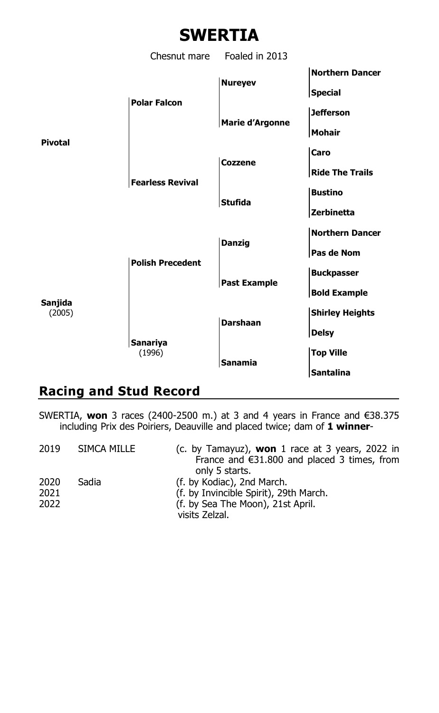

## **Racing and Stud Record**

SWERTIA, **won** 3 races (2400-2500 m.) at 3 and 4 years in France and €38.375 including Prix des Poiriers, Deauville and placed twice; dam of **1 winner**-

| 2019                 | SIMCA MILLE | (c. by Tamayuz), won 1 race at 3 years, 2022 in<br>France and $\epsilon$ 31.800 and placed 3 times, from<br>only 5 starts.  |
|----------------------|-------------|-----------------------------------------------------------------------------------------------------------------------------|
| 2020<br>2021<br>2022 | Sadia       | (f. by Kodiac), 2nd March.<br>(f. by Invincible Spirit), 29th March.<br>(f. by Sea The Moon), 21st April.<br>visits Zelzal. |